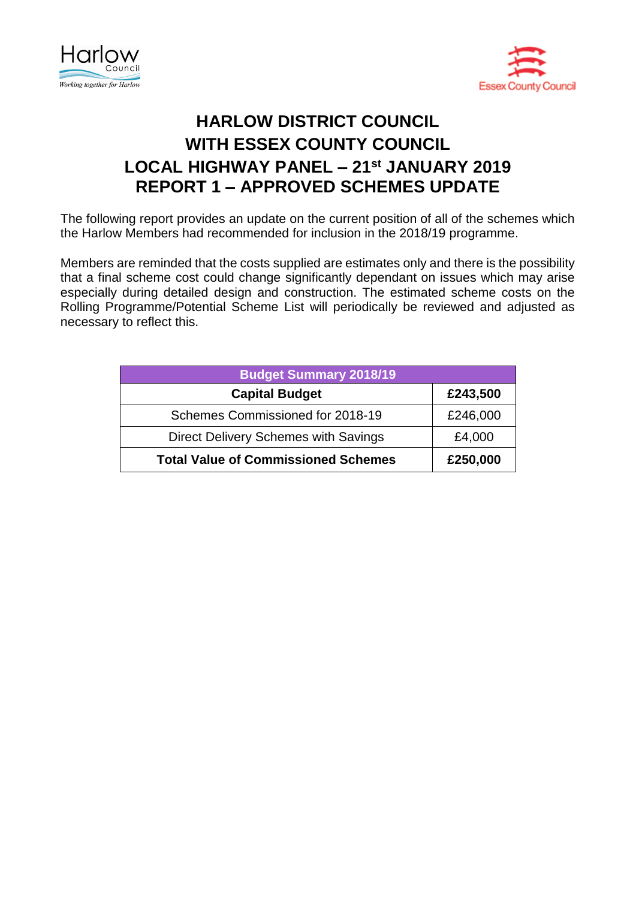



## **HARLOW DISTRICT COUNCIL WITH ESSEX COUNTY COUNCIL LOCAL HIGHWAY PANEL – 21st JANUARY 2019 REPORT 1 – APPROVED SCHEMES UPDATE**

The following report provides an update on the current position of all of the schemes which the Harlow Members had recommended for inclusion in the 2018/19 programme.

Members are reminded that the costs supplied are estimates only and there is the possibility that a final scheme cost could change significantly dependant on issues which may arise especially during detailed design and construction. The estimated scheme costs on the Rolling Programme/Potential Scheme List will periodically be reviewed and adjusted as necessary to reflect this.

| <b>Budget Summary 2018/19</b>              |          |
|--------------------------------------------|----------|
| <b>Capital Budget</b>                      | £243,500 |
| Schemes Commissioned for 2018-19           | £246,000 |
| Direct Delivery Schemes with Savings       | £4,000   |
| <b>Total Value of Commissioned Schemes</b> | £250,000 |